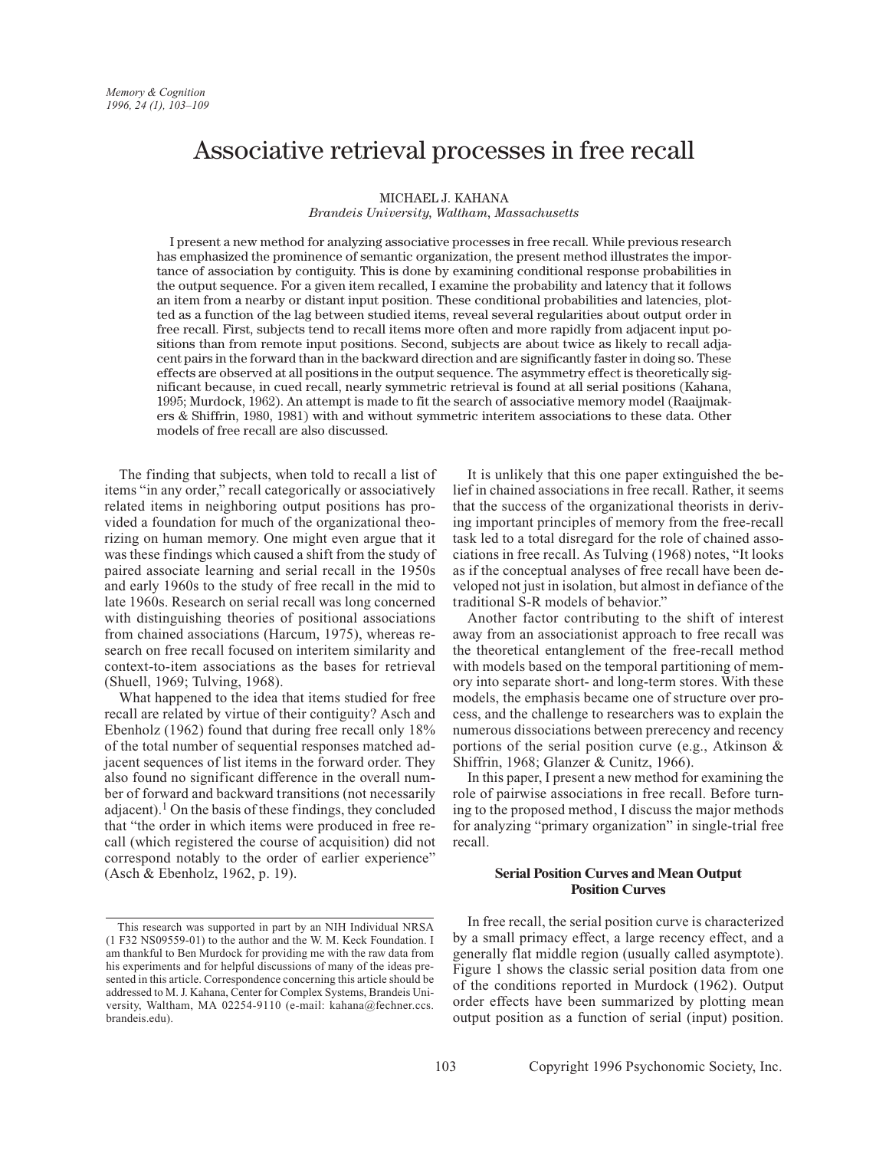# Associative retrieval processes in free recall

MICHAEL J. KAHANA

*Brandeis University, Waltham, Massachusetts*

I present a new method for analyzing associative processes in free recall. While previous research has emphasized the prominence of semantic organization, the present method illustrates the importance of association by contiguity. This is done by examining conditional response probabilities in the output sequence. For a given item recalled, I examine the probability and latency that it follows an item from a nearby or distant input position. These conditional probabilities and latencies, plotted as a function of the lag between studied items, reveal several regularities about output order in free recall. First, subjects tend to recall items more often and more rapidly from adjacent input positions than from remote input positions. Second, subjects are about twice as likely to recall adjacent pairs in the forward than in the backward direction and are significantly faster in doing so. These effects are observed at all positions in the output sequence. The asymmetry effect is theoretically significant because, in cued recall, nearly symmetric retrieval is found at all serial positions (Kahana, 1995; Murdock, 1962). An attempt is made to fit the search of associative memory model (Raaijmakers & Shiffrin, 1980, 1981) with and without symmetric interitem associations to these data. Other models of free recall are also discussed.

The finding that subjects, when told to recall a list of items "in any order," recall categorically or associatively related items in neighboring output positions has provided a foundation for much of the organizational theorizing on human memory. One might even argue that it was these findings which caused a shift from the study of paired associate learning and serial recall in the 1950s and early 1960s to the study of free recall in the mid to late 1960s. Research on serial recall was long concerned with distinguishing theories of positional associations from chained associations (Harcum, 1975), whereas research on free recall focused on interitem similarity and context-to-item associations as the bases for retrieval (Shuell, 1969; Tulving, 1968).

What happened to the idea that items studied for free recall are related by virtue of their contiguity? Asch and Ebenholz (1962) found that during free recall only 18% of the total number of sequential responses matched adjacent sequences of list items in the forward order. They also found no significant difference in the overall number of forward and backward transitions (not necessarily adjacent).<sup>1</sup> On the basis of these findings, they concluded that "the order in which items were produced in free recall (which registered the course of acquisition) did not correspond notably to the order of earlier experience" (Asch & Ebenholz, 1962, p. 19).

It is unlikely that this one paper extinguished the belief in chained associations in free recall. Rather, it seems that the success of the organizational theorists in deriving important principles of memory from the free-recall task led to a total disregard for the role of chained associations in free recall. As Tulving (1968) notes, "It looks as if the conceptual analyses of free recall have been developed not just in isolation, but almost in defiance of the traditional S-R models of behavior."

Another factor contributing to the shift of interest away from an associationist approach to free recall was the theoretical entanglement of the free-recall method with models based on the temporal partitioning of memory into separate short- and long-term stores. With these models, the emphasis became one of structure over process, and the challenge to researchers was to explain the numerous dissociations between prerecency and recency portions of the serial position curve (e.g., Atkinson & Shiffrin, 1968; Glanzer & Cunitz, 1966).

In this paper, I present a new method for examining the role of pairwise associations in free recall. Before turning to the proposed method, I discuss the major methods for analyzing "primary organization" in single-trial free recall.

# **Serial Position Curves and Mean Output Position Curves**

In free recall, the serial position curve is characterized by a small primacy effect, a large recency effect, and a generally flat middle region (usually called asymptote). Figure 1 shows the classic serial position data from one of the conditions reported in Murdock (1962). Output order effects have been summarized by plotting mean output position as a function of serial (input) position.

This research was supported in part by an NIH Individual NRSA (1 F32 NS09559-01) to the author and the W. M. Keck Foundation. I am thankful to Ben Murdock for providing me with the raw data from his experiments and for helpful discussions of many of the ideas presented in this article. Correspondence concerning this article should be addressed to M. J. Kahana, Center for Complex Systems, Brandeis University, Waltham, MA 02254-9110 (e-mail: kahana@fechner.ccs. brandeis.edu).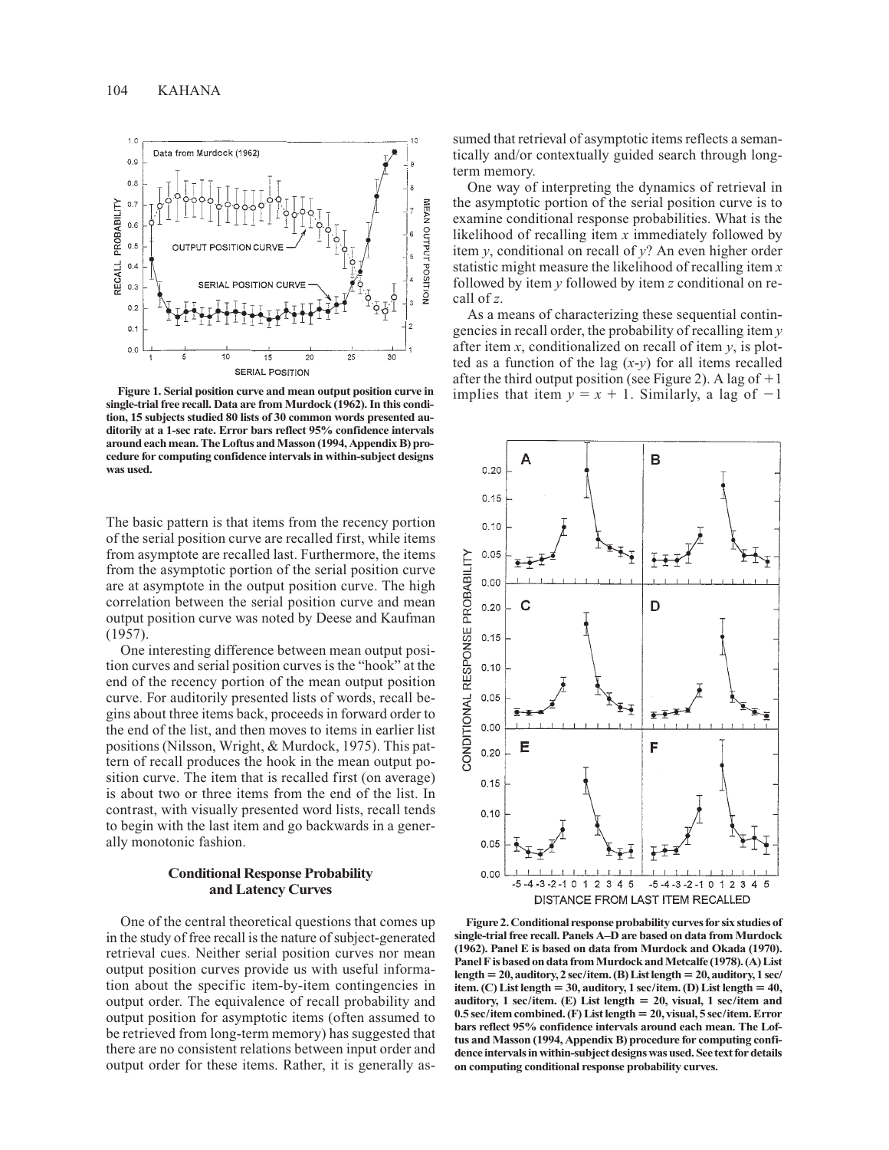

**single-trial free recall. Data are from Murdock (1962). In this condition, 15 subjects studied 80 lists of 30 common words presented auditorily at a 1-sec rate. Error bars reflect 95% confidence intervals around each mean. The Loftus and Masson (1994, Appendix B) procedure for computing confidence intervals in within-subject designs was used.**

The basic pattern is that items from the recency portion of the serial position curve are recalled first, while items from asymptote are recalled last. Furthermore, the items from the asymptotic portion of the serial position curve are at asymptote in the output position curve. The high correlation between the serial position curve and mean output position curve was noted by Deese and Kaufman (1957).

One interesting difference between mean output position curves and serial position curves is the "hook" at the end of the recency portion of the mean output position curve. For auditorily presented lists of words, recall begins about three items back, proceeds in forward order to the end of the list, and then moves to items in earlier list positions (Nilsson, Wright, & Murdock, 1975). This pattern of recall produces the hook in the mean output position curve. The item that is recalled first (on average) is about two or three items from the end of the list. In contrast, with visually presented word lists, recall tends to begin with the last item and go backwards in a generally monotonic fashion.

# **Conditional Response Probability and Latency Curves**

One of the central theoretical questions that comes up in the study of free recall is the nature of subject-generated retrieval cues. Neither serial position curves nor mean output position curves provide us with useful information about the specific item-by-item contingencies in output order. The equivalence of recall probability and output position for asymptotic items (often assumed to be retrieved from long-term memory) has suggested that there are no consistent relations between input order and output order for these items. Rather, it is generally assumed that retrieval of asymptotic items reflects a semantically and/or contextually guided search through longterm memory.

One way of interpreting the dynamics of retrieval in the asymptotic portion of the serial position curve is to examine conditional response probabilities. What is the likelihood of recalling item *x* immediately followed by item *y*, conditional on recall of *y*? An even higher order statistic might measure the likelihood of recalling item *x* followed by item *y* followed by item *z* conditional on recall of *z*.

As a means of characterizing these sequential contingencies in recall order, the probability of recalling item *y* after item *x*, conditionalized on recall of item *y*, is plotted as a function of the lag (*x*-*y*) for all items recalled after the third output position (see Figure 2). A lag of  $+1$ Figure 1. Serial position curve and mean output position curve in implies that item  $y = x + 1$ . Similarly, a lag of  $-1$ 



**Figure 2. Conditional response probability curves for six studies of single-trial free recall. Panels A–D are based on data from Murdock (1962). Panel E is based on data from Murdock and Okada (1970). PanelF is based on data from Murdock and Metcalfe (1978). (A)List length 20, auditory, 2sec/item. (B)List length 20, auditory, 1sec/ item.** (C) List length  $= 30$ , auditory, 1 sec/item. (D) List length  $= 40$ , auditory, 1 sec/item. (E) List length  $= 20$ , visual, 1 sec/item and **0.5 sec/item combined. (F) List length 20, visual, 5 sec/item. Error bars reflect 95% confidence intervals around each mean. The Loftus and Masson (1994, Appendix B) procedure for computing confidence intervals in within-subject designs was used. See text for details on computing conditional response probability curves.**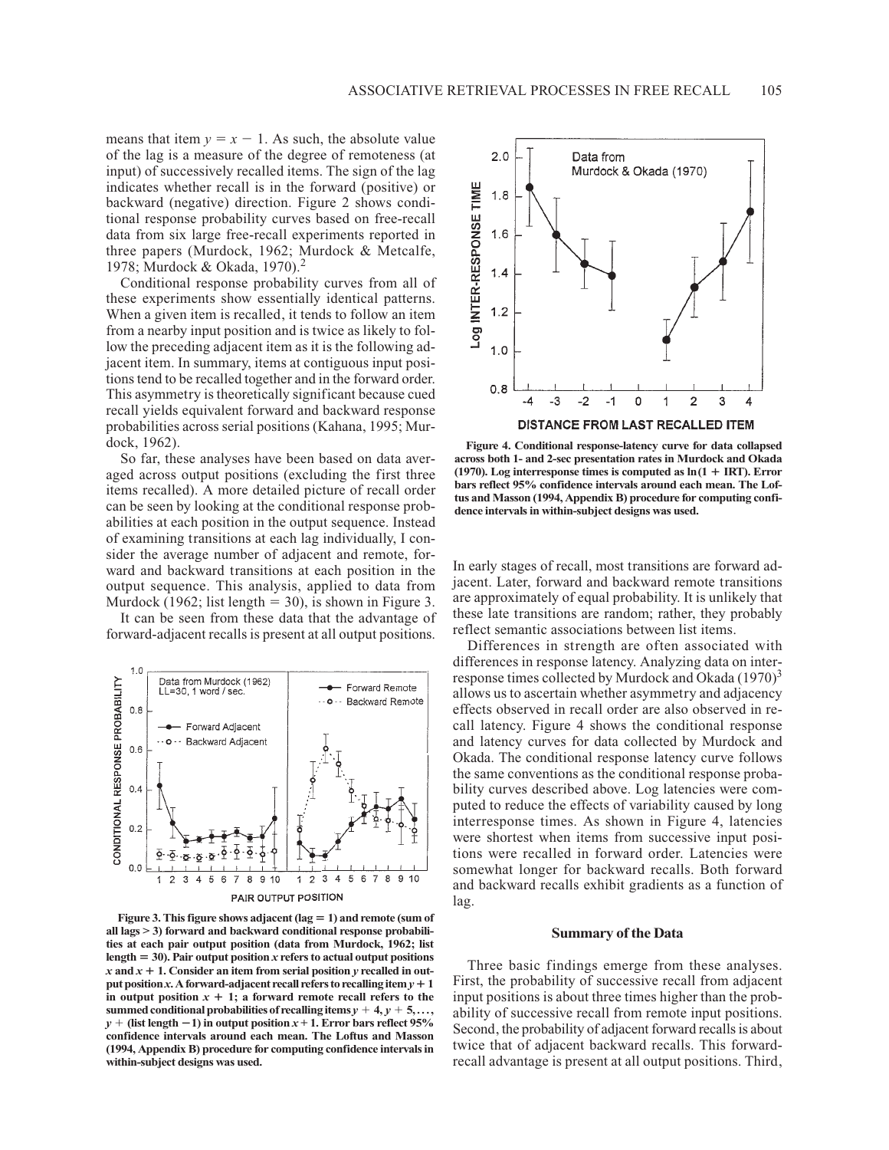means that item  $y = x - 1$ . As such, the absolute value of the lag is a measure of the degree of remoteness (at input) of successively recalled items. The sign of the lag indicates whether recall is in the forward (positive) or backward (negative) direction. Figure 2 shows conditional response probability curves based on free-recall data from six large free-recall experiments reported in three papers (Murdock, 1962; Murdock & Metcalfe, 1978; Murdock & Okada, 1970).<sup>2</sup>

Conditional response probability curves from all of these experiments show essentially identical patterns. When a given item is recalled, it tends to follow an item from a nearby input position and is twice as likely to follow the preceding adjacent item as it is the following adjacent item. In summary, items at contiguous input positions tend to be recalled together and in the forward order. This asymmetry is theoretically significant because cued recall yields equivalent forward and backward response probabilities across serial positions (Kahana, 1995; Murdock, 1962).

So far, these analyses have been based on data averaged across output positions (excluding the first three items recalled). A more detailed picture of recall order can be seen by looking at the conditional response probabilities at each position in the output sequence. Instead of examining transitions at each lag individually, I consider the average number of adjacent and remote, forward and backward transitions at each position in the output sequence. This analysis, applied to data from Murdock (1962; list length  $= 30$ ), is shown in Figure 3.

It can be seen from these data that the advantage of forward-adjacent recalls is present at all output positions.



**Figure 3. This figure shows adjacent (lag = 1) and remote (sum of all lags > 3) forward and backward conditional response probabilities at each pair output position (data from Murdock, 1962; list** length  $= 30$ . Pair output position *x* refers to actual output positions  $x$  and  $x + 1$ . Consider an item from serial position  $y$  recalled in output position  $x$ . A forward-adjacent recall refers to recalling item  $y + 1$ in output position  $x + 1$ ; a forward remote recall refers to the summed conditional probabilities of recalling items  $y + 4$ ,  $y + 5$ ,...,  $y +$  (list length  $-1$ ) in output position  $x + 1$ . Error bars reflect 95% **confidence intervals around each mean. The Loftus and Masson (1994, Appendix B) procedure for computing confidence intervals in within-subject designs was used.**



**Figure 4. Conditional response-latency curve for data collapsed across both 1- and 2-sec presentation rates in Murdock and Okada (1970). Log interresponse times is computed as ln(1** - **IRT). Error bars reflect 95% confidence intervals around each mean. The Loftus and Masson (1994, Appendix B) procedure for computing confidence intervals in within-subject designs was used.**

In early stages of recall, most transitions are forward adjacent. Later, forward and backward remote transitions are approximately of equal probability. It is unlikely that these late transitions are random; rather, they probably reflect semantic associations between list items.

Differences in strength are often associated with differences in response latency. Analyzing data on interresponse times collected by Murdock and Okada  $(1970)^3$ allows us to ascertain whether asymmetry and adjacency effects observed in recall order are also observed in recall latency. Figure 4 shows the conditional response and latency curves for data collected by Murdock and Okada. The conditional response latency curve follows the same conventions as the conditional response probability curves described above. Log latencies were computed to reduce the effects of variability caused by long interresponse times. As shown in Figure 4, latencies were shortest when items from successive input positions were recalled in forward order. Latencies were somewhat longer for backward recalls. Both forward and backward recalls exhibit gradients as a function of lag.

# **Summary of the Data**

Three basic findings emerge from these analyses. First, the probability of successive recall from adjacent input positions is about three times higher than the probability of successive recall from remote input positions. Second, the probability of adjacent forward recalls is about twice that of adjacent backward recalls. This forwardrecall advantage is present at all output positions. Third,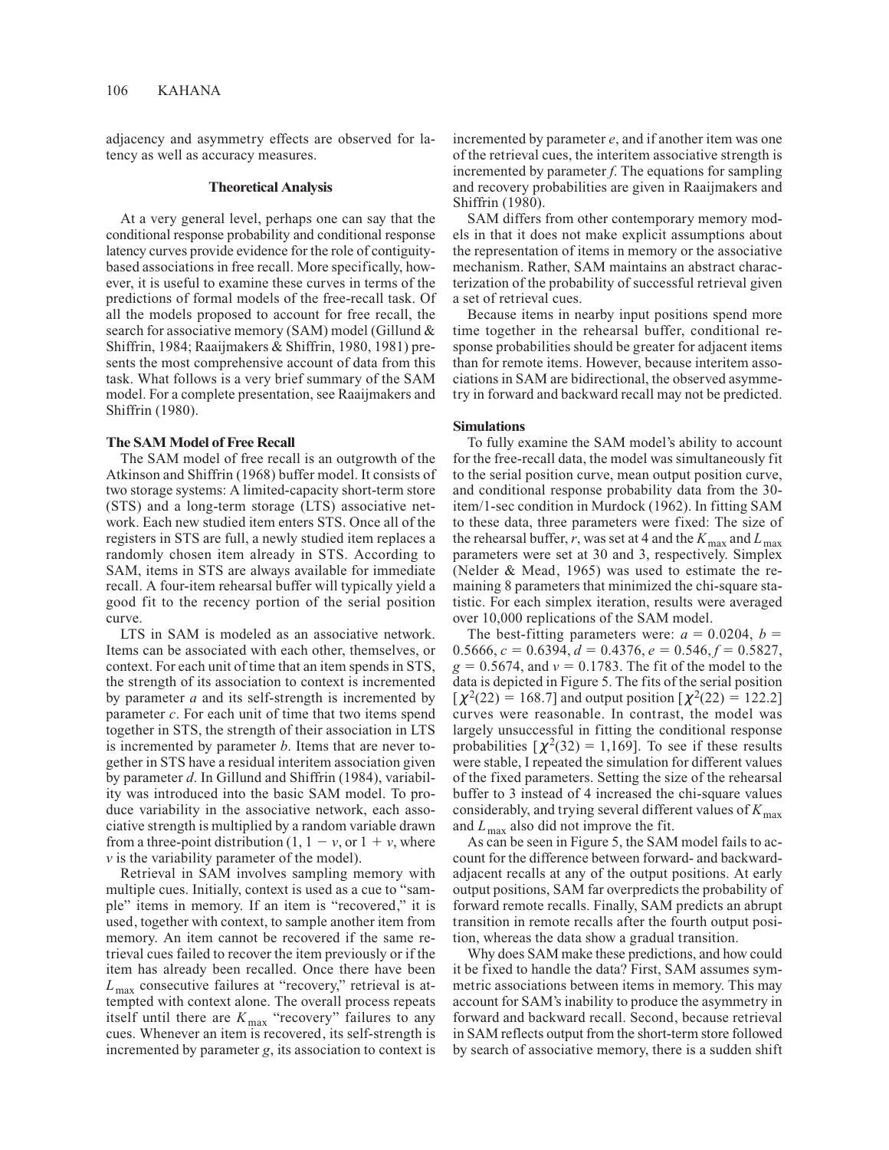adjacency and asymmetry effects are observed for latency as well as accuracy measures.

# **Theoretical Analysis**

At a very general level, perhaps one can say that the conditional response probability and conditional response latency curves provide evidence for the role of contiguitybased associations in free recall. More specifically, however, it is useful to examine these curves in terms of the predictions of formal models of the free-recall task. Of all the models proposed to account for free recall, the search for associative memory (SAM) model (Gillund & Shiffrin, 1984; Raaijmakers & Shiffrin, 1980, 1981) presents the most comprehensive account of data from this task. What follows is a very brief summary of the SAM model. For a complete presentation, see Raaijmakers and Shiffrin (1980).

# **The SAM Model of Free Recall**

The SAM model of free recall is an outgrowth of the Atkinson and Shiffrin (1968) buffer model. It consists of two storage systems: A limited-capacity short-term store (STS) and a long-term storage (LTS) associative network. Each new studied item enters STS. Once all of the registers in STS are full, a newly studied item replaces a randomly chosen item already in STS. According to SAM, items in STS are always available for immediate recall. A four-item rehearsal buffer will typically yield a good fit to the recency portion of the serial position curve.

LTS in SAM is modeled as an associative network. Items can be associated with each other, themselves, or context. For each unit of time that an item spends in STS, the strength of its association to context is incremented by parameter *a* and its self-strength is incremented by parameter *c*. For each unit of time that two items spend together in STS, the strength of their association in LTS is incremented by parameter *b*. Items that are never together in STS have a residual interitem association given by parameter *d*. In Gillund and Shiffrin (1984), variability was introduced into the basic SAM model. To produce variability in the associative network, each associative strength is multiplied by a random variable drawn from a three-point distribution  $(1, 1 - v, \text{or } 1 + v, \text{where})$ *v* is the variability parameter of the model).

Retrieval in SAM involves sampling memory with multiple cues. Initially, context is used as a cue to "sample" items in memory. If an item is "recovered," it is used, together with context, to sample another item from memory. An item cannot be recovered if the same retrieval cues failed to recover the item previously or if the item has already been recalled. Once there have been *L*max consecutive failures at "recovery," retrieval is attempted with context alone. The overall process repeats itself until there are  $K_{\text{max}}$  "recovery" failures to any cues. Whenever an item is recovered, its self-strength is incremented by parameter *g*, its association to context is

incremented by parameter *e*, and if another item was one of the retrieval cues, the interitem associative strength is incremented by parameter *f*. The equations for sampling and recovery probabilities are given in Raaijmakers and Shiffrin (1980).

SAM differs from other contemporary memory models in that it does not make explicit assumptions about the representation of items in memory or the associative mechanism. Rather, SAM maintains an abstract characterization of the probability of successful retrieval given a set of retrieval cues.

Because items in nearby input positions spend more time together in the rehearsal buffer, conditional response probabilities should be greater for adjacent items than for remote items. However, because interitem associations in SAM are bidirectional, the observed asymmetry in forward and backward recall may not be predicted.

#### **Simulations**

To fully examine the SAM model's ability to account for the free-recall data, the model was simultaneously fit to the serial position curve, mean output position curve, and conditional response probability data from the 30 item/1-sec condition in Murdock (1962). In fitting SAM to these data, three parameters were fixed: The size of the rehearsal buffer,  $\overline{r}$ , was set at 4 and the  $K_{\text{max}}$  and  $L_{\text{max}}$ parameters were set at 30 and 3, respectively. Simplex (Nelder & Mead, 1965) was used to estimate the remaining 8 parameters that minimized the chi-square statistic. For each simplex iteration, results were averaged over 10,000 replications of the SAM model.

The best-fitting parameters were:  $a = 0.0204$ ,  $b =$  $0.5666$ ,  $c = 0.6394$ ,  $d = 0.4376$ ,  $e = 0.546$ ,  $f = 0.5827$ ,  $g = 0.5674$ , and  $v = 0.1783$ . The fit of the model to the data is depicted in Figure 5. The fits of the serial position  $[\chi^2(22) = 168.7]$  and output position  $[\chi^2(22) = 122.2]$ curves were reasonable. In contrast, the model was largely unsuccessful in fitting the conditional response probabilities  $[\chi^2(32) = 1,169]$ . To see if these results were stable, I repeated the simulation for different values of the fixed parameters. Setting the size of the rehearsal buffer to 3 instead of 4 increased the chi-square values considerably, and trying several different values of  $K_{\text{max}}$ and  $L_{\text{max}}$  also did not improve the fit.

As can be seen in Figure 5, the SAM model fails to account for the difference between forward- and backwardadjacent recalls at any of the output positions. At early output positions, SAM far overpredicts the probability of forward remote recalls. Finally, SAM predicts an abrupt transition in remote recalls after the fourth output position, whereas the data show a gradual transition.

Why does SAM make these predictions, and how could it be fixed to handle the data? First, SAM assumes symmetric associations between items in memory. This may account for SAM's inability to produce the asymmetry in forward and backward recall. Second, because retrieval in SAM reflects output from the short-term store followed by search of associative memory, there is a sudden shift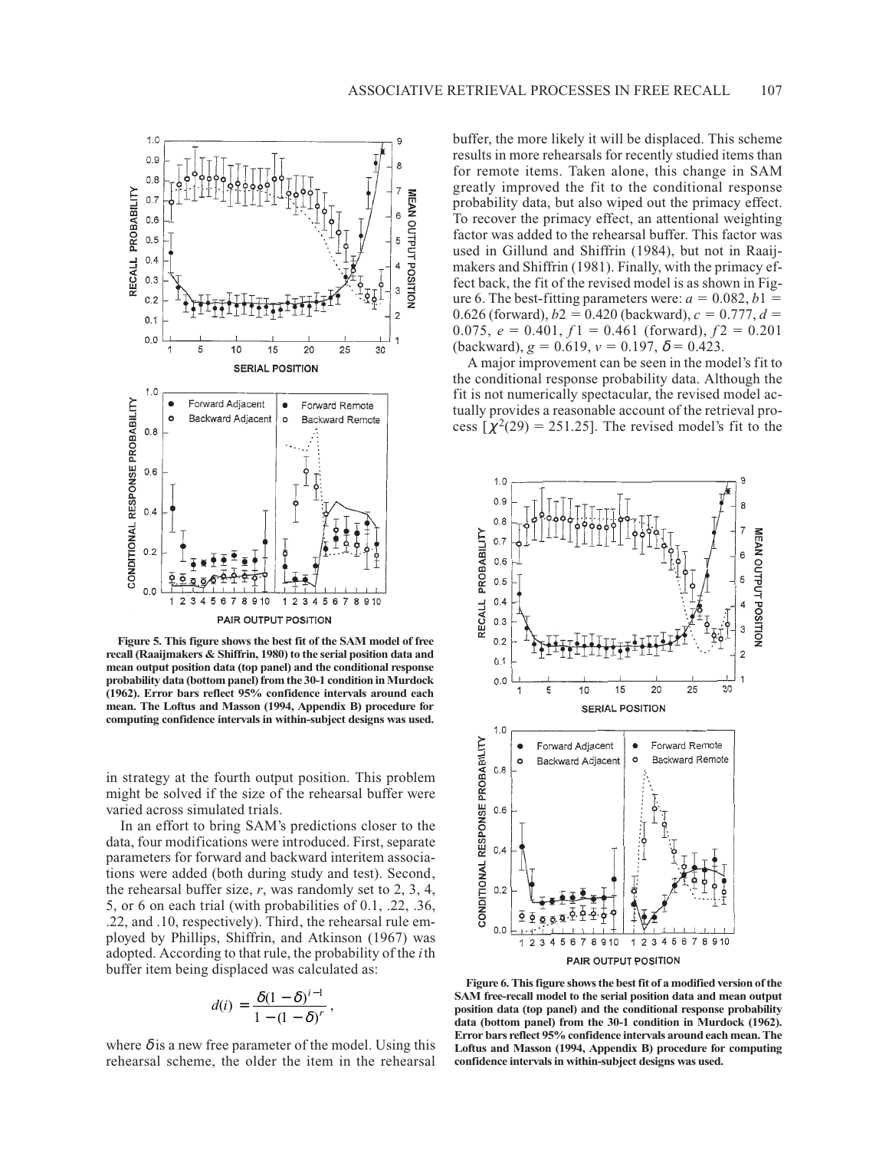

**Figure 5. This figure shows the best fit of the SAM model of free recall (Raaijmakers & Shiffrin, 1980) to the serial position data and mean output position data (top panel) and the conditional response probability data (bottom panel) from the 30-1 condition in Murdock (1962). Error bars reflect 95% confidence intervals around each mean. The Loftus and Masson (1994, Appendix B) procedure for computing confidence intervals in within-subject designs was used.**

in strategy at the fourth output position. This problem might be solved if the size of the rehearsal buffer were varied across simulated trials.

In an effort to bring SAM's predictions closer to the data, four modifications were introduced. First, separate parameters for forward and backward interitem associations were added (both during study and test). Second, the rehearsal buffer size, *r*, was randomly set to 2, 3, 4, 5, or 6 on each trial (with probabilities of 0.1, .22, .36, .22, and .10, respectively). Third, the rehearsal rule employed by Phillips, Shiffrin, and Atkinson (1967) was adopted. According to that rule, the probability of the *i*th buffer item being displaced was calculated as:

$$
d(i) = \frac{\delta(1-\delta)^{i-1}}{1-(1-\delta)^r},
$$

where  $\delta$  is a new free parameter of the model. Using this rehearsal scheme, the older the item in the rehearsal

buffer, the more likely it will be displaced. This scheme results in more rehearsals for recently studied items than for remote items. Taken alone, this change in SAM greatly improved the fit to the conditional response probability data, but also wiped out the primacy effect. To recover the primacy effect, an attentional weighting factor was added to the rehearsal buffer. This factor was used in Gillund and Shiffrin (1984), but not in Raaijmakers and Shiffrin (1981). Finally, with the primacy effect back, the fit of the revised model is as shown in Figure 6. The best-fitting parameters were:  $a = 0.082, b1 =$  $0.626$  (forward),  $b2 = 0.420$  (backward),  $c = 0.777$ ,  $d =$ 0.075,  $e = 0.401$ ,  $f1 = 0.461$  (forward),  $f2 = 0.201$  $(\text{backward})$ ,  $g = 0.619$ ,  $v = 0.197$ ,  $\delta = 0.423$ .

A major improvement can be seen in the model's fit to the conditional response probability data. Although the fit is not numerically spectacular, the revised model actually provides a reasonable account of the retrieval process  $\left[\chi^2(29) = 251.25\right]$ . The revised model's fit to the



**Figure 6. This figure shows the best fit of a modified version of the SAM free-recall model to the serial position data and mean output position data (top panel) and the conditional response probability data (bottom panel) from the 30-1 condition in Murdock (1962). Error bars reflect 95% confidence intervals around each mean. The Loftus and Masson (1994, Appendix B) procedure for computing confidence intervals in within-subject designs was used.**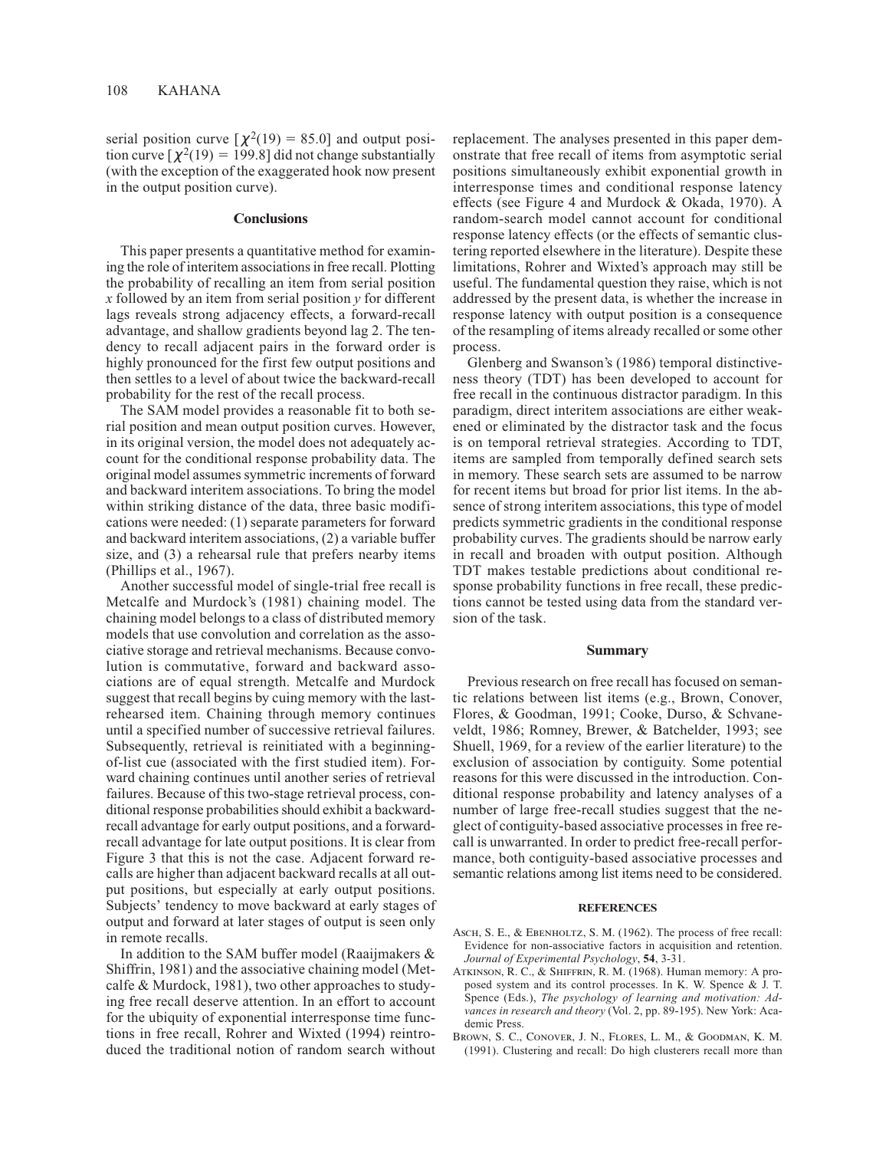serial position curve  $[\chi^2(19) = 85.0]$  and output position curve  $[\chi^2(19) = 199.8]$  did not change substantially (with the exception of the exaggerated hook now present in the output position curve).

# **Conclusions**

This paper presents a quantitative method for examining the role of interitem associations in free recall. Plotting the probability of recalling an item from serial position *x* followed by an item from serial position *y* for different lags reveals strong adjacency effects, a forward-recall advantage, and shallow gradients beyond lag 2. The tendency to recall adjacent pairs in the forward order is highly pronounced for the first few output positions and then settles to a level of about twice the backward-recall probability for the rest of the recall process.

The SAM model provides a reasonable fit to both serial position and mean output position curves. However, in its original version, the model does not adequately account for the conditional response probability data. The original model assumes symmetric increments of forward and backward interitem associations. To bring the model within striking distance of the data, three basic modifications were needed: (1) separate parameters for forward and backward interitem associations, (2) a variable buffer size, and (3) a rehearsal rule that prefers nearby items (Phillips et al., 1967).

Another successful model of single-trial free recall is Metcalfe and Murdock's (1981) chaining model. The chaining model belongs to a class of distributed memory models that use convolution and correlation as the associative storage and retrieval mechanisms. Because convolution is commutative, forward and backward associations are of equal strength. Metcalfe and Murdock suggest that recall begins by cuing memory with the lastrehearsed item. Chaining through memory continues until a specified number of successive retrieval failures. Subsequently, retrieval is reinitiated with a beginningof-list cue (associated with the first studied item). Forward chaining continues until another series of retrieval failures. Because of this two-stage retrieval process, conditional response probabilities should exhibit a backwardrecall advantage for early output positions, and a forwardrecall advantage for late output positions. It is clear from Figure 3 that this is not the case. Adjacent forward recalls are higher than adjacent backward recalls at all output positions, but especially at early output positions. Subjects' tendency to move backward at early stages of output and forward at later stages of output is seen only in remote recalls.

In addition to the SAM buffer model (Raaijmakers & Shiffrin, 1981) and the associative chaining model (Metcalfe & Murdock, 1981), two other approaches to studying free recall deserve attention. In an effort to account for the ubiquity of exponential interresponse time functions in free recall, Rohrer and Wixted (1994) reintroduced the traditional notion of random search without

replacement. The analyses presented in this paper demonstrate that free recall of items from asymptotic serial positions simultaneously exhibit exponential growth in interresponse times and conditional response latency effects (see Figure 4 and Murdock & Okada, 1970). A random-search model cannot account for conditional response latency effects (or the effects of semantic clustering reported elsewhere in the literature). Despite these limitations, Rohrer and Wixted's approach may still be useful. The fundamental question they raise, which is not addressed by the present data, is whether the increase in response latency with output position is a consequence of the resampling of items already recalled or some other process.

Glenberg and Swanson's (1986) temporal distinctiveness theory (TDT) has been developed to account for free recall in the continuous distractor paradigm. In this paradigm, direct interitem associations are either weakened or eliminated by the distractor task and the focus is on temporal retrieval strategies. According to TDT, items are sampled from temporally defined search sets in memory. These search sets are assumed to be narrow for recent items but broad for prior list items. In the absence of strong interitem associations, this type of model predicts symmetric gradients in the conditional response probability curves. The gradients should be narrow early in recall and broaden with output position. Although TDT makes testable predictions about conditional response probability functions in free recall, these predictions cannot be tested using data from the standard version of the task.

#### **Summary**

Previous research on free recall has focused on semantic relations between list items (e.g., Brown, Conover, Flores, & Goodman, 1991; Cooke, Durso, & Schvaneveldt, 1986; Romney, Brewer, & Batchelder, 1993; see Shuell, 1969, for a review of the earlier literature) to the exclusion of association by contiguity. Some potential reasons for this were discussed in the introduction. Conditional response probability and latency analyses of a number of large free-recall studies suggest that the neglect of contiguity-based associative processes in free recall is unwarranted. In order to predict free-recall performance, both contiguity-based associative processes and semantic relations among list items need to be considered.

## **REFERENCES**

- Asch, S. E., & EBENHOLTZ, S. M. (1962). The process of free recall: Evidence for non-associative factors in acquisition and retention. *Journal of Experimental Psychology*, **54**, 3-31.
- Atkinson, R. C., & Shiffrin, R. M. (1968). Human memory: A proposed system and its control processes. In K. W. Spence & J. T. Spence (Eds.), *The psychology of learning and motivation: Advances in research and theory* (Vol. 2, pp. 89-195). New York: Academic Press.
- Brown, S. C., Conover, J. N., Flores, L. M., & Goodman, K. M. (1991). Clustering and recall: Do high clusterers recall more than